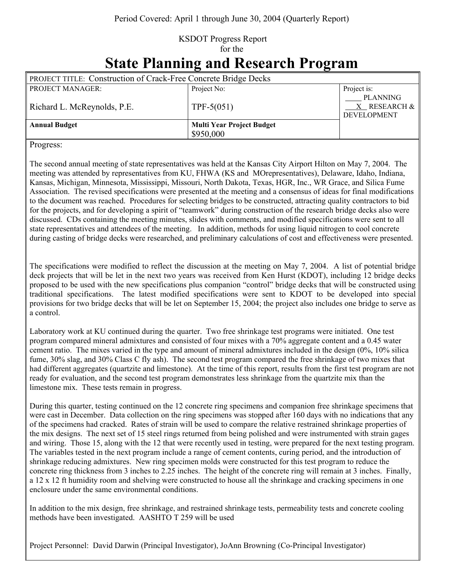## KSDOT Progress Report for the **State Planning and Research Program**

| <b>PROJECT TITLE: Construction of Crack-Free Concrete Bridge Decks</b> |                                               |                                                |
|------------------------------------------------------------------------|-----------------------------------------------|------------------------------------------------|
| PROJECT MANAGER:                                                       | Project No:                                   | Project is:                                    |
| Richard L. McReynolds, P.E.                                            | TPF-5 $(051)$                                 | <b>PLANNING</b><br>X RESEARCH &<br>DEVELOPMENT |
| <b>Annual Budget</b>                                                   | <b>Multi Year Project Budget</b><br>\$950,000 |                                                |

Progress:

The second annual meeting of state representatives was held at the Kansas City Airport Hilton on May 7, 2004. The meeting was attended by representatives from KU, FHWA (KS and MOrepresentatives), Delaware, Idaho, Indiana, Kansas, Michigan, Minnesota, Mississippi, Missouri, North Dakota, Texas, HGR, Inc., WR Grace, and Silica Fume Association. The revised specifications were presented at the meeting and a consensus of ideas for final modifications to the document was reached. Procedures for selecting bridges to be constructed, attracting quality contractors to bid for the projects, and for developing a spirit of "teamwork" during construction of the research bridge decks also were discussed. CDs containing the meeting minutes, slides with comments, and modified specifications were sent to all state representatives and attendees of the meeting. In addition, methods for using liquid nitrogen to cool concrete during casting of bridge decks were researched, and preliminary calculations of cost and effectiveness were presented.

The specifications were modified to reflect the discussion at the meeting on May 7, 2004. A list of potential bridge deck projects that will be let in the next two years was received from Ken Hurst (KDOT), including 12 bridge decks proposed to be used with the new specifications plus companion "control" bridge decks that will be constructed using traditional specifications. The latest modified specifications were sent to KDOT to be developed into special provisions for two bridge decks that will be let on September 15, 2004; the project also includes one bridge to serve as a control.

Laboratory work at KU continued during the quarter. Two free shrinkage test programs were initiated. One test program compared mineral admixtures and consisted of four mixes with a 70% aggregate content and a 0.45 water cement ratio. The mixes varied in the type and amount of mineral admixtures included in the design (0%, 10% silica fume, 30% slag, and 30% Class C fly ash). The second test program compared the free shrinkage of two mixes that had different aggregates (quartzite and limestone). At the time of this report, results from the first test program are not ready for evaluation, and the second test program demonstrates less shrinkage from the quartzite mix than the limestone mix. These tests remain in progress.

During this quarter, testing continued on the 12 concrete ring specimens and companion free shrinkage specimens that were cast in December. Data collection on the ring specimens was stopped after 160 days with no indications that any of the specimens had cracked. Rates of strain will be used to compare the relative restrained shrinkage properties of the mix designs. The next set of 15 steel rings returned from being polished and were instrumented with strain gages and wiring. Those 15, along with the 12 that were recently used in testing, were prepared for the next testing program. The variables tested in the next program include a range of cement contents, curing period, and the introduction of shrinkage reducing admixtures. New ring specimen molds were constructed for this test program to reduce the concrete ring thickness from 3 inches to 2.25 inches. The height of the concrete ring will remain at 3 inches. Finally, a 12 x 12 ft humidity room and shelving were constructed to house all the shrinkage and cracking specimens in one enclosure under the same environmental conditions.

In addition to the mix design, free shrinkage, and restrained shrinkage tests, permeability tests and concrete cooling methods have been investigated. AASHTO T 259 will be used

Project Personnel: David Darwin (Principal Investigator), JoAnn Browning (Co-Principal Investigator)